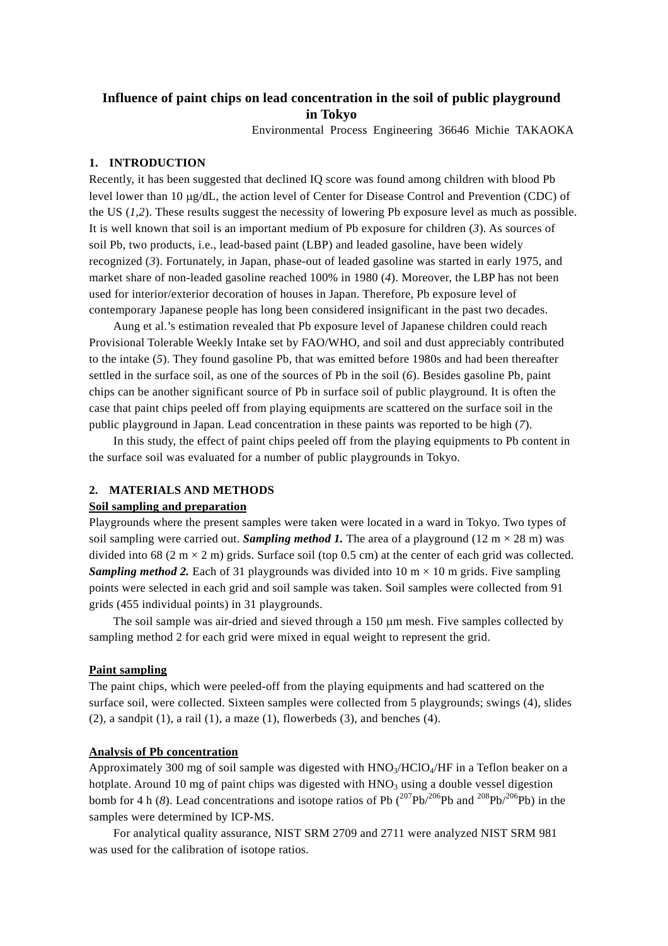# **Influence of paint chips on lead concentration in the soil of public playground in Tokyo**

Environmental Process Engineering 36646 Michie TAKAOKA

### **1. INTRODUCTION**

Recently, it has been suggested that declined IQ score was found among children with blood Pb level lower than 10 µg/dL, the action level of Center for Disease Control and Prevention (CDC) of the US (*1*,*2*). These results suggest the necessity of lowering Pb exposure level as much as possible. It is well known that soil is an important medium of Pb exposure for children (*3*). As sources of soil Pb, two products, i.e., lead-based paint (LBP) and leaded gasoline, have been widely recognized (*3*). Fortunately, in Japan, phase-out of leaded gasoline was started in early 1975, and market share of non-leaded gasoline reached 100% in 1980 (*4*). Moreover, the LBP has not been used for interior/exterior decoration of houses in Japan. Therefore, Pb exposure level of contemporary Japanese people has long been considered insignificant in the past two decades.

Aung et al.'s estimation revealed that Pb exposure level of Japanese children could reach Provisional Tolerable Weekly Intake set by FAO/WHO, and soil and dust appreciably contributed to the intake (*5*). They found gasoline Pb, that was emitted before 1980s and had been thereafter settled in the surface soil, as one of the sources of Pb in the soil (*6*). Besides gasoline Pb, paint chips can be another significant source of Pb in surface soil of public playground. It is often the case that paint chips peeled off from playing equipments are scattered on the surface soil in the public playground in Japan. Lead concentration in these paints was reported to be high (*7*).

In this study, the effect of paint chips peeled off from the playing equipments to Pb content in the surface soil was evaluated for a number of public playgrounds in Tokyo.

# **2. MATERIALS AND METHODS**

### **Soil sampling and preparation**

Playgrounds where the present samples were taken were located in a ward in Tokyo. Two types of soil sampling were carried out. *Sampling method 1*. The area of a playground (12 m  $\times$  28 m) was divided into 68 (2 m  $\times$  2 m) grids. Surface soil (top 0.5 cm) at the center of each grid was collected. *Sampling method 2.* Each of 31 playgrounds was divided into 10 m  $\times$  10 m grids. Five sampling points were selected in each grid and soil sample was taken. Soil samples were collected from 91 grids (455 individual points) in 31 playgrounds.

The soil sample was air-dried and sieved through a 150  $\mu$ m mesh. Five samples collected by sampling method 2 for each grid were mixed in equal weight to represent the grid.

### **Paint sampling**

The paint chips, which were peeled-off from the playing equipments and had scattered on the surface soil, were collected. Sixteen samples were collected from 5 playgrounds; swings (4), slides  $(2)$ , a sandpit  $(1)$ , a rail  $(1)$ , a maze  $(1)$ , flowerbeds  $(3)$ , and benches  $(4)$ .

### **Analysis of Pb concentration**

Approximately 300 mg of soil sample was digested with  $HNO<sub>3</sub>/HClO<sub>4</sub>/HF$  in a Teflon beaker on a hotplate. Around 10 mg of paint chips was digested with  $HNO<sub>3</sub>$  using a double vessel digestion bomb for 4 h (8). Lead concentrations and isotope ratios of Pb  $(^{207}Pb/^{206}Pb$  and  $^{208}Pb/^{206}Pb)$  in the samples were determined by ICP-MS.

For analytical quality assurance, NIST SRM 2709 and 2711 were analyzed NIST SRM 981 was used for the calibration of isotope ratios.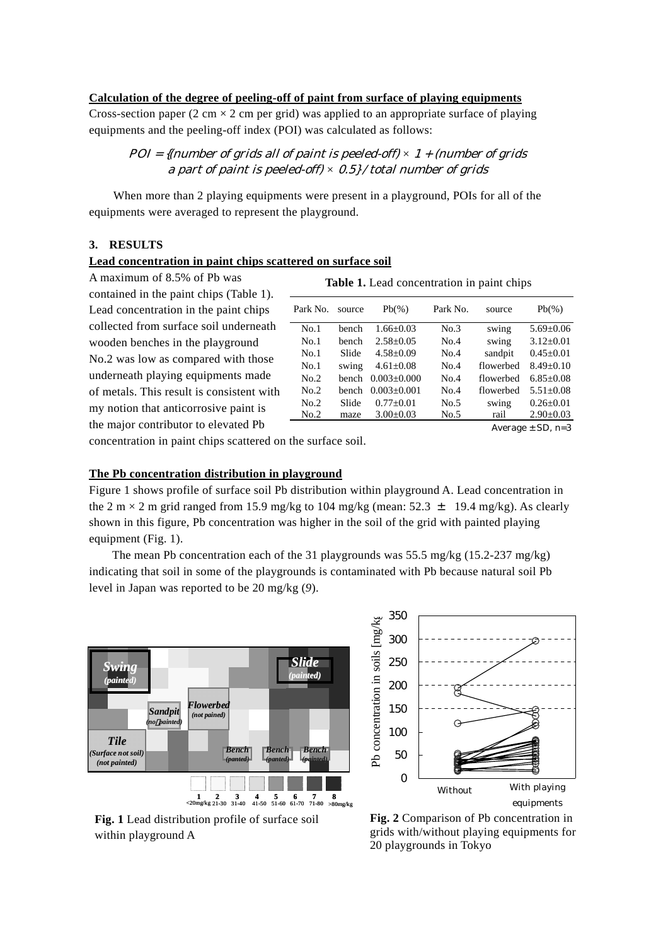# **Calculation of the degree of peeling-off of paint from surface of playing equipments**

Cross-section paper (2 cm  $\times$  2 cm per grid) was applied to an appropriate surface of playing equipments and the peeling-off index (POI) was calculated as follows:

# $POI = \{ (number of grids all of paint is needed-off) \times 1 + (number of grids$ a part of paint is peeled-off) *×* 0.5} / total number of grids

When more than 2 playing equipments were present in a playground, POIs for all of the equipments were averaged to represent the playground.

### **3. RESULTS**

### **Lead concentration in paint chips scattered on surface soil**

A maximum of 8.5% of Pb was contained in the paint chips (Table 1). Lead concentration in the paint chips collected from surface soil underneath wooden benches in the playground No.2 was low as compared wi th those underneath playing equipments m ade of metals. This result is consistent wi th my notion that anticorrosive paint is the major contributor to elevated Pb

| <b>rable 1.</b> Lead concentration in panit chips |        |                   |          |           |                 |
|---------------------------------------------------|--------|-------------------|----------|-----------|-----------------|
| Park No.                                          | source | $Pb(\%)$          | Park No. | source    | $Pb(\%)$        |
| No.1                                              | bench  | $1.66 \pm 0.03$   | No.3     | swing     | $5.69 \pm 0.06$ |
| No.1                                              | bench  | $2.58 + 0.05$     | No.4     | swing     | $3.12 \pm 0.01$ |
| No.1                                              | Slide  | $4.58 \pm 0.09$   | No.4     | sandpit   | $0.45 \pm 0.01$ |
| No.1                                              | swing  | $4.61 \pm 0.08$   | No.4     | flowerbed | $8.49 + 0.10$   |
| No.2                                              | bench  | $0.003 \pm 0.000$ | No.4     | flowerbed | $6.85 + 0.08$   |
| No.2                                              | bench  | $0.003 \pm 0.001$ | No.4     | flowerbed | $5.51 + 0.08$   |
| No.2                                              | Slide  | $0.77+0.01$       | No.5     | swing     | $0.26 \pm 0.01$ |
| No.2                                              | maze   | $3.00 \pm 0.03$   | No.5     | rail      | $2.90 \pm 0.03$ |

**Table 1.** Lead concentration in paint chips

Average  $\pm$  SD, n=3

concentration in paint chips scattered on the surface soil.

### **The Pb concentration distribution in playground**

Figure 1 shows profile of surface soil Pb distribution within playground A. Lead concentration in the 2 m  $\times$  2 m grid ranged from 15.9 mg/kg to 104 mg/kg (mean: 52.3  $\pm$  19.4 mg/kg). As clearly shown in this figure, Pb concentration was higher in the soil of the grid with painted playing equipment (Fig. 1).

The mean Pb concentration each of the 31 playgrounds was 55.5 mg/kg  $(15.2-237 \text{ mg/kg})$ indi cating that soil in some of the playgrounds is contaminated with Pb because natural soil Pb level in Japan was reported to be 20 mg/kg (*9*).



**Fig. 1** Lead distribution profile of surface soil within playground A



Fig. 2 Comparison of Pb concentration in grids with/without playing equipments for 20 playgrounds in Tokyo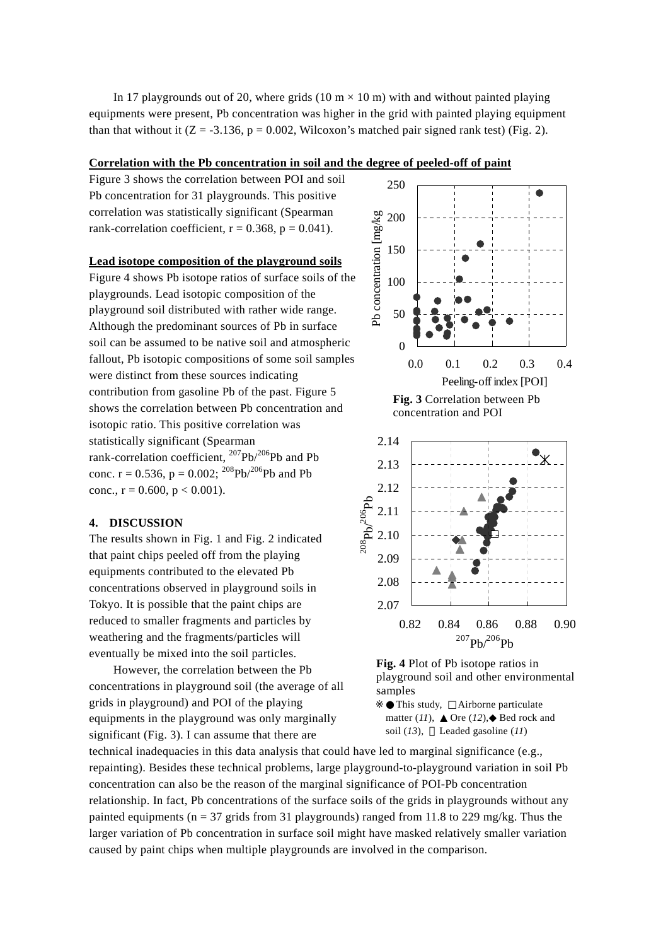In 17 playgrounds out of 20, where grids (10 m  $\times$  10 m) with and without painted playing equipments were present, Pb concentration was higher in the grid with painted playing equipment than that without it  $(Z = -3.136, p = 0.002$ , Wilcoxon's matched pair signed rank test) (Fig. 2).

### **Correlation with the Pb concentration in soil and t he degree of peeled-off of paint**

Figure 3 shows the correlation betw een POI and soil Pb concentration for 31 playgrounds. This positive correlation was statistically significant (Spearman rank-correlation coefficient,  $r = 0.368$ ,  $p = 0.041$ ).

#### **Lead isotope composition of the playground soils**

Figure 4 shows Pb isotope ratios of surface soils of the soil can be assumed to be native soil and atmospheric contribution from gasoline Pb of the past. Figure 5 rank-correlation coefficient,  $^{207}Pb/^{206}Pb$  and Pb conc.  $r = 0.536$ ,  $p = 0.002$ ; <sup>208</sup>Pb/<sup>206</sup>Pb and Pb playgrounds. Lead isotopic composition of the playground soil distributed with rather wide range. Although the predominant sources of Pb in surface fallout, Pb isotopic compositions of some soil samples were distinct from these sources indicating shows the correlation between Pb concentration and isotopic ratio. This positive correlation was statistically significant (Spearman conc.,  $r = 0.600$ ,  $p < 0.001$ ).

#### **. DISCUSSION 4**

The results shown in Fig. 1 and Fig. 2 indicated concentrations observed in playground soils in that paint chips peeled off from the playing equipments contributed to the elevated Pb Tokyo. It is possible that the paint chips are reduced to smaller fragments and particles by weathering and the fragments/particles will eventually be mixed into the soil particles.

However, the correlation between the Pb concentrations in playground soil (the average of all equipments in the playground was only marginally grids in playground) and POI of the playing significant (Fig. 3). I can assume that there are



**Fig. 3** Correlation between Pb concentration and POI





matter (*11*), Ore (*12*), Bed rock and soil (*13*), Leaded gasoline (*11*) This study, Airborne particulate

technical inadequacies in this data analysis that could have led to marginal significance (e.g., repainting). Besides these technical problems, large playground-to-playground variation in soil Pb relationship. In fact, Pb concentrations of the surface soils of the grids in playgrounds without any concentration can also be the reason of the marginal significance of POI-Pb concentration painted equipments ( $n = 37$  grids from 31 playgrounds) ranged from 11.8 to 229 mg/kg. Thus the larger variation of Pb concentration in surface soil might have masked relatively smaller variation caused by paint chips when multiple playgrounds are involved in the comparison.